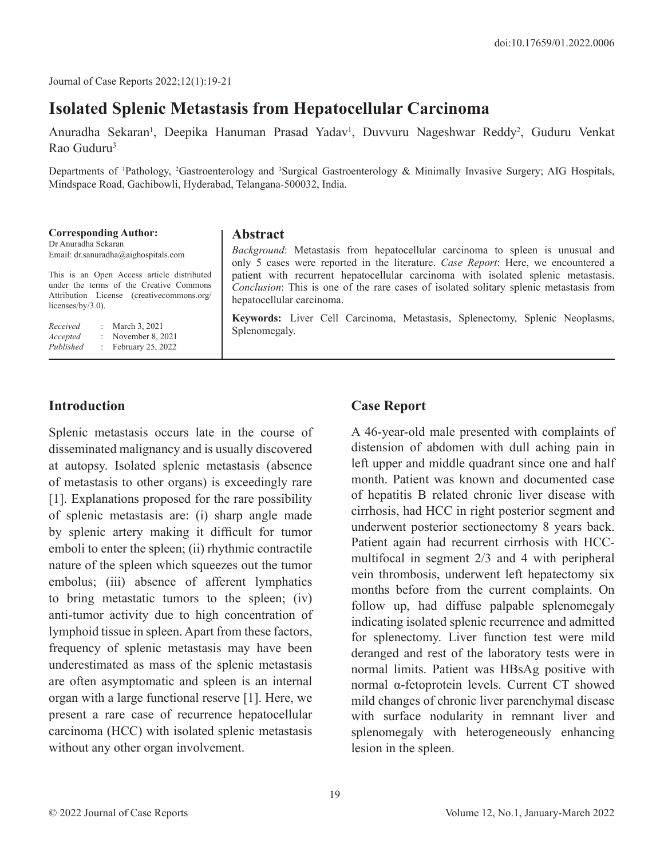Journal of Case Reports 2022;12(1):19-21

# **Isolated Splenic Metastasis from Hepatocellular Carcinoma**

Anuradha Sekaran<sup>1</sup>, Deepika Hanuman Prasad Yadav<sup>1</sup>, Duvvuru Nageshwar Reddy<sup>2</sup>, Guduru Venkat Rao Guduru3

Departments of <sup>1</sup>Pathology, <sup>2</sup>Gastroenterology and <sup>3</sup>Surgical Gastroenterology & Minimally Invasive Surgery; AIG Hospitals, Mindspace Road, Gachibowli, Hyderabad, Telangana-500032, India.

| <b>Corresponding Author:</b><br>Dr Anuradha Sekaran<br>Email: dr.sanuradha@aighospitals.com                                                                 | <b>Abstract</b><br><i>Background</i> : Metastasis from hepatocellular carcinoma to spleen is unusual and<br>only 5 cases were reported in the literature. Case Report: Here, we encountered a                   |
|-------------------------------------------------------------------------------------------------------------------------------------------------------------|-----------------------------------------------------------------------------------------------------------------------------------------------------------------------------------------------------------------|
| This is an Open Access article distributed<br>under the terms of the Creative Commons<br>Attribution License (creativecommons.org/<br>licenses/by/ $3.0$ ). | patient with recurrent hepatocellular carcinoma with isolated splenic metastasis.<br><i>Conclusion:</i> This is one of the rare cases of isolated solitary splenic metastasis from<br>hepatocellular carcinoma. |
| Received<br>: March 3, 2021<br>: November $8, 2021$<br>Accepted<br>Published<br>February 25, 2022<br>t.                                                     | <b>Keywords:</b> Liver Cell Carcinoma, Metastasis, Splenectomy, Splenic Neoplasms,<br>Splenomegaly.                                                                                                             |

#### **Introduction**

Splenic metastasis occurs late in the course of disseminated malignancy and is usually discovered at autopsy. Isolated splenic metastasis (absence of metastasis to other organs) is exceedingly rare [1]. Explanations proposed for the rare possibility of splenic metastasis are: (i) sharp angle made by splenic artery making it difficult for tumor emboli to enter the spleen; (ii) rhythmic contractile nature of the spleen which squeezes out the tumor embolus; (iii) absence of afferent lymphatics to bring metastatic tumors to the spleen; (iv) anti-tumor activity due to high concentration of lymphoid tissue in spleen. Apart from these factors, frequency of splenic metastasis may have been underestimated as mass of the splenic metastasis are often asymptomatic and spleen is an internal organ with a large functional reserve [1]. Here, we present a rare case of recurrence hepatocellular carcinoma (HCC) with isolated splenic metastasis without any other organ involvement.

### **Case Report**

A 46-year-old male presented with complaints of distension of abdomen with dull aching pain in left upper and middle quadrant since one and half month. Patient was known and documented case of hepatitis B related chronic liver disease with cirrhosis, had HCC in right posterior segment and underwent posterior sectionectomy 8 years back. Patient again had recurrent cirrhosis with HCCmultifocal in segment 2/3 and 4 with peripheral vein thrombosis, underwent left hepatectomy six months before from the current complaints. On follow up, had diffuse palpable splenomegaly indicating isolated splenic recurrence and admitted for splenectomy. Liver function test were mild deranged and rest of the laboratory tests were in normal limits. Patient was HBsAg positive with normal α-fetoprotein levels. Current CT showed mild changes of chronic liver parenchymal disease with surface nodularity in remnant liver and splenomegaly with heterogeneously enhancing lesion in the spleen.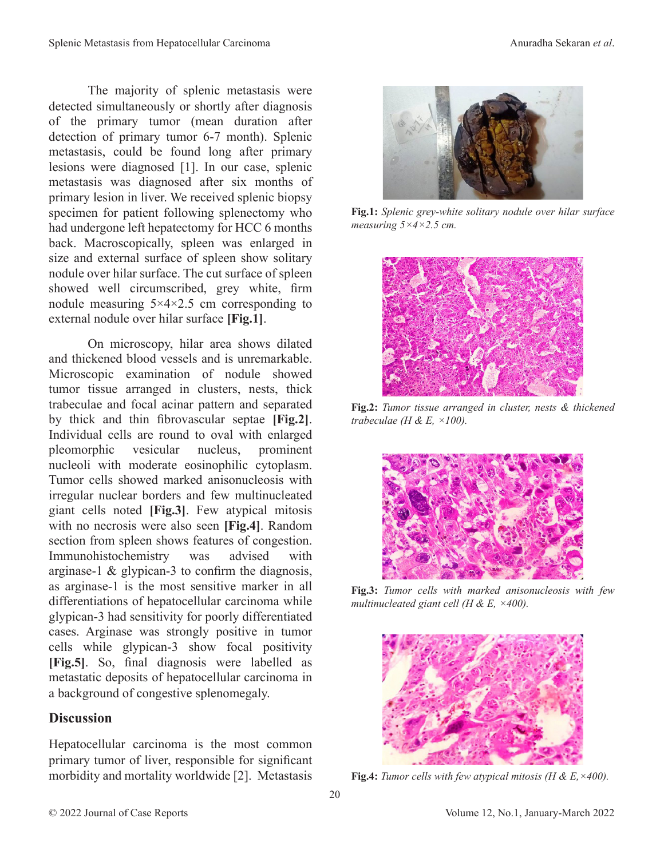The majority of splenic metastasis were detected simultaneously or shortly after diagnosis of the primary tumor (mean duration after detection of primary tumor 6-7 month). Splenic metastasis, could be found long after primary lesions were diagnosed [1]. In our case, splenic metastasis was diagnosed after six months of primary lesion in liver. We received splenic biopsy specimen for patient following splenectomy who had undergone left hepatectomy for HCC 6 months back. Macroscopically, spleen was enlarged in size and external surface of spleen show solitary nodule over hilar surface. The cut surface of spleen showed well circumscribed, grey white, firm nodule measuring  $5 \times 4 \times 2.5$  cm corresponding to external nodule over hilar surface **[Fig.1]**.

On microscopy, hilar area shows dilated and thickened blood vessels and is unremarkable. Microscopic examination of nodule showed tumor tissue arranged in clusters, nests, thick trabeculae and focal acinar pattern and separated by thick and thin fibrovascular septae **[Fig.2]**. Individual cells are round to oval with enlarged pleomorphic vesicular nucleus, prominent nucleoli with moderate eosinophilic cytoplasm. Tumor cells showed marked anisonucleosis with irregular nuclear borders and few multinucleated giant cells noted **[Fig.3]**. Few atypical mitosis with no necrosis were also seen **[Fig.4]**. Random section from spleen shows features of congestion. Immunohistochemistry was advised with arginase-1 & glypican-3 to confirm the diagnosis, as arginase-1 is the most sensitive marker in all differentiations of hepatocellular carcinoma while glypican-3 had sensitivity for poorly differentiated cases. Arginase was strongly positive in tumor cells while glypican-3 show focal positivity **[Fig.5]**. So, final diagnosis were labelled as metastatic deposits of hepatocellular carcinoma in a background of congestive splenomegaly.

#### **Discussion**

Hepatocellular carcinoma is the most common primary tumor of liver, responsible for significant morbidity and mortality worldwide [2]. Metastasis



**Fig.1:** *Splenic grey-white solitary nodule over hilar surface measuring 5×4×2.5 cm.*



**Fig.2:** *Tumor tissue arranged in cluster, nests & thickened trabeculae (H & E, ×100).*



**Fig.3:** *Tumor cells with marked anisonucleosis with few multinucleated giant cell (H & E, ×400).* 



**Fig.4:** *Tumor cells with few atypical mitosis (H & E,×400).*